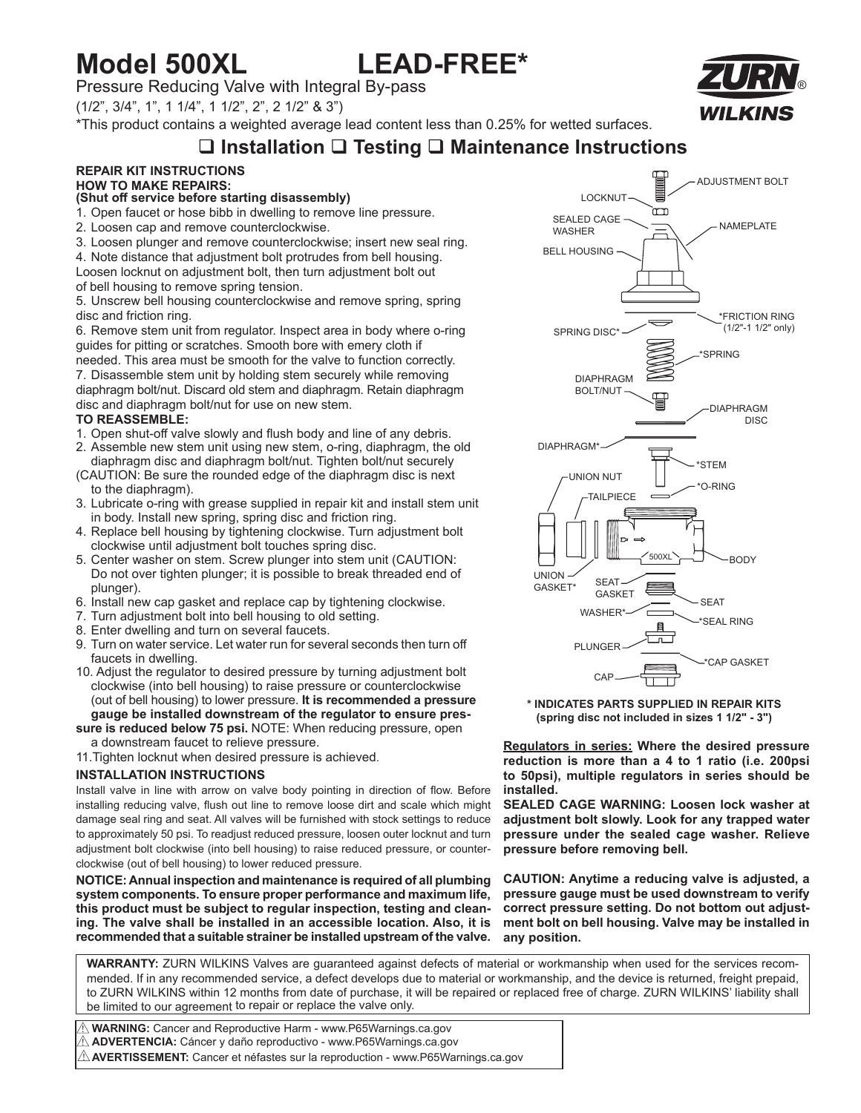# **Model 500XL LEAD-FREE\***

Pressure Reducing Valve with Integral By-pass

(1/2", 3/4", 1", 1 1/4", 1 1/2", 2", 2 1/2" & 3")

\*This product contains a weighted average lead content less than 0.25% for wetted surfaces.

## **Installation Testing Maintenance Instructions**

#### **REPAIR KIT INSTRUCTIONS HOW TO MAKE REPAIRS:**

#### **(Shut off service before starting disassembly)**

- 1. Open faucet or hose bibb in dwelling to remove line pressure.
- 2. Loosen cap and remove counterclockwise.
- 3. Loosen plunger and remove counterclockwise; insert new seal ring.
- 4. Note distance that adjustment bolt protrudes from bell housing.
- Loosen locknut on adjustment bolt, then turn adjustment bolt out
- of bell housing to remove spring tension.

5. Unscrew bell housing counterclockwise and remove spring, spring disc and friction ring.

6. Remove stem unit from regulator. Inspect area in body where o-ring guides for pitting or scratches. Smooth bore with emery cloth if needed. This area must be smooth for the valve to function correctly.

7. Disassemble stem unit by holding stem securely while removing diaphragm bolt/nut. Discard old stem and diaphragm. Retain diaphragm disc and diaphragm bolt/nut for use on new stem.

#### **TO REASSEMBLE:**

- 1. Open shut-off valve slowly and flush body and line of any debris.
- 2. Assemble new stem unit using new stem, o-ring, diaphragm, the old diaphragm disc and diaphragm bolt/nut. Tighten bolt/nut securely
- (CAUTION: Be sure the rounded edge of the diaphragm disc is next to the diaphragm).
- 3. Lubricate o-ring with grease supplied in repair kit and install stem unit in body. Install new spring, spring disc and friction ring.
- 4. Replace bell housing by tightening clockwise. Turn adjustment bolt clockwise until adjustment bolt touches spring disc.
- 5. Center washer on stem. Screw plunger into stem unit (CAUTION: Do not over tighten plunger; it is possible to break threaded end of plunger).
- 6. Install new cap gasket and replace cap by tightening clockwise.
- 7. Turn adjustment bolt into bell housing to old setting.
- 8. Enter dwelling and turn on several faucets.
- 9. Turn on water service. Let water run for several seconds then turn off faucets in dwelling.
- 10. Adjust the regulator to desired pressure by turning adjustment bolt clockwise (into bell housing) to raise pressure or counterclockwise (out of bell housing) to lower pressure. **It is recommended a pressure gauge be installed downstream of the regulator to ensure pres-**

**sure is reduced below 75 psi.** NOTE: When reducing pressure, open a downstream faucet to relieve pressure.

11.Tighten locknut when desired pressure is achieved.

#### **INSTALLATION INSTRUCTIONS**

Install valve in line with arrow on valve body pointing in direction of flow. Before installing reducing valve, flush out line to remove loose dirt and scale which might damage seal ring and seat. All valves will be furnished with stock settings to reduce to approximately 50 psi. To readjust reduced pressure, loosen outer locknut and turn adjustment bolt clockwise (into bell housing) to raise reduced pressure, or counterclockwise (out of bell housing) to lower reduced pressure.

**NOTICE: Annual inspection and maintenance is required of all plumbing system components. To ensure proper performance and maximum life, this product must be subject to regular inspection, testing and cleaning. The valve shall be installed in an accessible location. Also, it is recommended that a suitable strainer be installed upstream of the valve.**



**\* INDICATES PARTS SUPPLIED IN REPAIR KITS (spring disc not included in sizes 1 1/2" - 3")**

**Regulators in series: Where the desired pressure reduction is more than a 4 to 1 ratio (i.e. 200psi to 50psi), multiple regulators in series should be installed.**

**SEALED CAGE WARNING: Loosen lock washer at adjustment bolt slowly. Look for any trapped water pressure under the sealed cage washer. Relieve pressure before removing bell.**

**CAUTION: Anytime a reducing valve is adjusted, a pressure gauge must be used downstream to verify correct pressure setting. Do not bottom out adjustment bolt on bell housing. Valve may be installed in any position.**

**WARRANTY:** ZURN WILKINS Valves are guaranteed against defects of material or workmanship when used for the services recommended. If in any recommended service, a defect develops due to material or workmanship, and the device is returned, freight prepaid, to ZURN WILKINS within 12 months from date of purchase, it will be repaired or replaced free of charge. ZURN WILKINS' liability shall be limited to our agreement to repair or replace the valve only.

 **WARNING:** Cancer and Reproductive Harm - www.P65Warnings.ca.gov ! **ADVERTENCIA:** Cáncer y daño reproductivo - www.P65Warnings.ca.gov !  $\mathbb \Delta$  **AVERTISSEMENT:** Cancer et néfastes sur la reproduction - www.P65Warnings.ca.gov